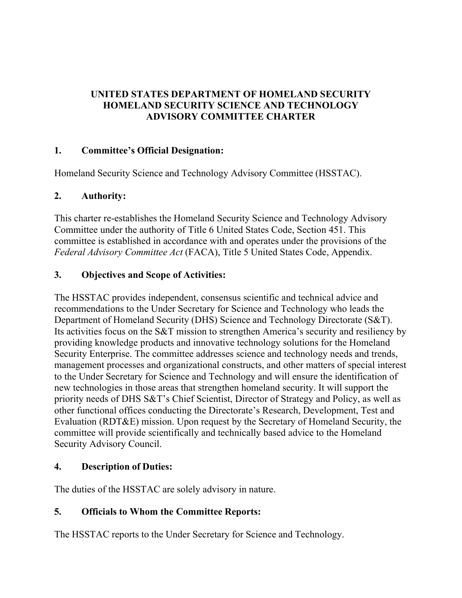### **UNITED STATES DEPARTMENT OF HOMELAND SECURITY HOMELAND SECURITY SCIENCE AND TECHNOLOGY ADVISORY COMMITTEE CHARTER**

#### **1. Committee's Official Designation:**

Homeland Security Science and Technology Advisory Committee (HSSTAC).

#### **2. Authority:**

This charter re-establishes the Homeland Security Science and Technology Advisory Committee under the authority of Title 6 United States Code, Section 451. This committee is established in accordance with and operates under the provisions of the *Federal Advisory Committee Act* (FACA), Title 5 United States Code, Appendix.

### **3. Objectives and Scope of Activities:**

The HSSTAC provides independent, consensus scientific and technical advice and recommendations to the Under Secretary for Science and Technology who leads the Department of Homeland Security (DHS) Science and Technology Directorate (S&T). Its activities focus on the S&T mission to strengthen America's security and resiliency by providing knowledge products and innovative technology solutions for the Homeland Security Enterprise. The committee addresses science and technology needs and trends, management processes and organizational constructs, and other matters of special interest to the Under Secretary for Science and Technology and will ensure the identification of new technologies in those areas that strengthen homeland security. It will support the priority needs of DHS S&T's Chief Scientist, Director of Strategy and Policy, as well as other functional offices conducting the Directorate's Research, Development, Test and Evaluation (RDT&E) mission. Upon request by the Secretary of Homeland Security, the committee will provide scientifically and technically based advice to the Homeland Security Advisory Council.

### **4. Description of Duties:**

The duties of the HSSTAC are solely advisory in nature.

### **5. Officials to Whom the Committee Reports:**

The HSSTAC reports to the Under Secretary for Science and Technology.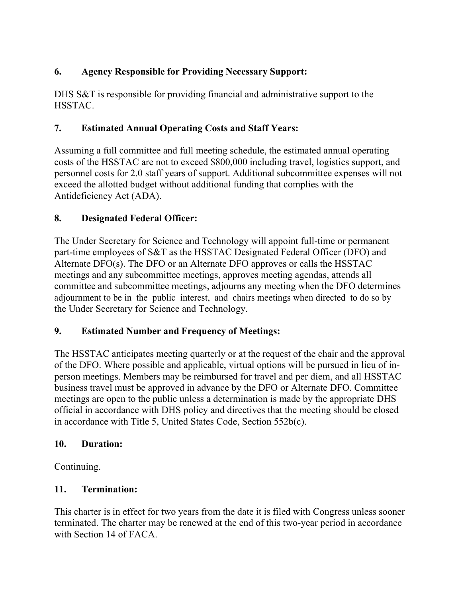## **6. Agency Responsible for Providing Necessary Support:**

DHS S&T is responsible for providing financial and administrative support to the HSSTAC.

# **7. Estimated Annual Operating Costs and Staff Years:**

Assuming a full committee and full meeting schedule, the estimated annual operating costs of the HSSTAC are not to exceed \$800,000 including travel, logistics support, and personnel costs for 2.0 staff years of support. Additional subcommittee expenses will not exceed the allotted budget without additional funding that complies with the Antideficiency Act (ADA).

# **8. Designated Federal Officer:**

The Under Secretary for Science and Technology will appoint full-time or permanent part-time employees of S&T as the HSSTAC Designated Federal Officer (DFO) and Alternate DFO(s). The DFO or an Alternate DFO approves or calls the HSSTAC meetings and any subcommittee meetings, approves meeting agendas, attends all committee and subcommittee meetings, adjourns any meeting when the DFO determines adjournment to be in the public interest, and chairs meetings when directed to do so by the Under Secretary for Science and Technology.

## **9. Estimated Number and Frequency of Meetings:**

The HSSTAC anticipates meeting quarterly or at the request of the chair and the approval of the DFO. Where possible and applicable, virtual options will be pursued in lieu of inperson meetings. Members may be reimbursed for travel and per diem, and all HSSTAC business travel must be approved in advance by the DFO or Alternate DFO. Committee meetings are open to the public unless a determination is made by the appropriate DHS official in accordance with DHS policy and directives that the meeting should be closed in accordance with Title 5, United States Code, Section 552b(c).

## **10. Duration:**

Continuing.

## **11. Termination:**

This charter is in effect for two years from the date it is filed with Congress unless sooner terminated. The charter may be renewed at the end of this two-year period in accordance with Section 14 of FACA.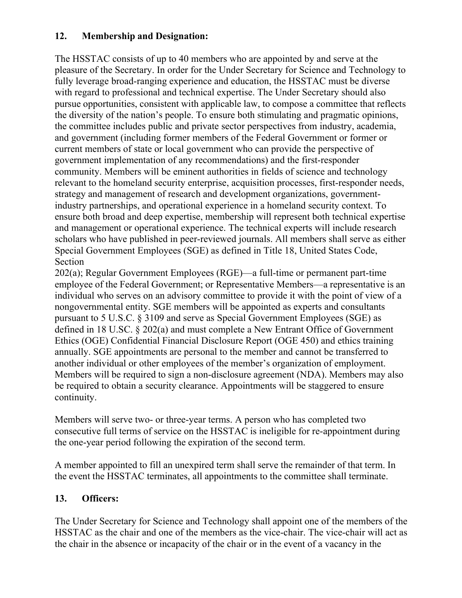### **12. Membership and Designation:**

The HSSTAC consists of up to 40 members who are appointed by and serve at the pleasure of the Secretary. In order for the Under Secretary for Science and Technology to fully leverage broad-ranging experience and education, the HSSTAC must be diverse with regard to professional and technical expertise. The Under Secretary should also pursue opportunities, consistent with applicable law, to compose a committee that reflects the diversity of the nation's people. To ensure both stimulating and pragmatic opinions, the committee includes public and private sector perspectives from industry, academia, and government (including former members of the Federal Government or former or current members of state or local government who can provide the perspective of government implementation of any recommendations) and the first-responder community. Members will be eminent authorities in fields of science and technology relevant to the homeland security enterprise, acquisition processes, first-responder needs, strategy and management of research and development organizations, governmentindustry partnerships, and operational experience in a homeland security context. To ensure both broad and deep expertise, membership will represent both technical expertise and management or operational experience. The technical experts will include research scholars who have published in peer-reviewed journals. All members shall serve as either Special Government Employees (SGE) as defined in Title 18, United States Code, Section

202(a); Regular Government Employees (RGE)—a full-time or permanent part-time employee of the Federal Government; or Representative Members—a representative is an individual who serves on an advisory committee to provide it with the point of view of a nongovernmental entity. SGE members will be appointed as experts and consultants pursuant to 5 U.S.C. § 3109 and serve as Special Government Employees (SGE) as defined in 18 U.SC. § 202(a) and must complete a New Entrant Office of Government Ethics (OGE) Confidential Financial Disclosure Report (OGE 450) and ethics training annually. SGE appointments are personal to the member and cannot be transferred to another individual or other employees of the member's organization of employment. Members will be required to sign a non-disclosure agreement (NDA). Members may also be required to obtain a security clearance. Appointments will be staggered to ensure continuity.

Members will serve two- or three-year terms. A person who has completed two consecutive full terms of service on the HSSTAC is ineligible for re-appointment during the one-year period following the expiration of the second term.

A member appointed to fill an unexpired term shall serve the remainder of that term. In the event the HSSTAC terminates, all appointments to the committee shall terminate.

### **13. Officers:**

The Under Secretary for Science and Technology shall appoint one of the members of the HSSTAC as the chair and one of the members as the vice-chair. The vice-chair will act as the chair in the absence or incapacity of the chair or in the event of a vacancy in the